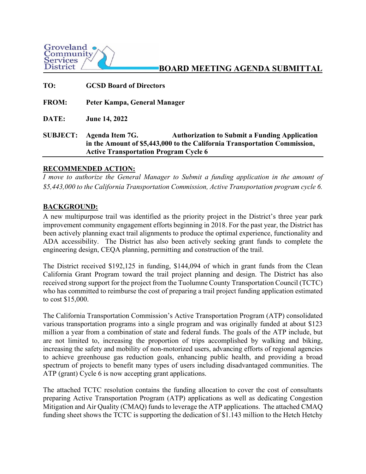

**BOARD MEETING AGENDA SUBMITTAL**

| TO:             | <b>GCSD Board of Directors</b>                                                                                                                                                                       |
|-----------------|------------------------------------------------------------------------------------------------------------------------------------------------------------------------------------------------------|
| <b>FROM:</b>    | Peter Kampa, General Manager                                                                                                                                                                         |
| DATE:           | <b>June 14, 2022</b>                                                                                                                                                                                 |
| <b>SUBJECT:</b> | Agenda Item 7G.<br><b>Authorization to Submit a Funding Application</b><br>in the Amount of \$5,443,000 to the California Transportation Commission,<br><b>Active Transportation Program Cycle 6</b> |

## **RECOMMENDED ACTION:**

*I move to authorize the General Manager to Submit a funding application in the amount of \$5,443,000 to the California Transportation Commission, Active Transportation program cycle 6.* 

## **BACKGROUND:**

A new multipurpose trail was identified as the priority project in the District's three year park improvement community engagement efforts beginning in 2018. For the past year, the District has been actively planning exact trail alignments to produce the optimal experience, functionality and ADA accessibility. The District has also been actively seeking grant funds to complete the engineering design, CEQA planning, permitting and construction of the trail.

The District received \$192,125 in funding, \$144,094 of which in grant funds from the Clean California Grant Program toward the trail project planning and design. The District has also received strong support for the project from the Tuolumne County Transportation Council (TCTC) who has committed to reimburse the cost of preparing a trail project funding application estimated to cost \$15,000.

The California Transportation Commission's Active Transportation Program (ATP) consolidated various transportation programs into a single program and was originally funded at about \$123 million a year from a combination of state and federal funds. The goals of the ATP include, but are not limited to, increasing the proportion of trips accomplished by walking and biking, increasing the safety and mobility of non-motorized users, advancing efforts of regional agencies to achieve greenhouse gas reduction goals, enhancing public health, and providing a broad spectrum of projects to benefit many types of users including disadvantaged communities. The ATP (grant) Cycle 6 is now accepting grant applications.

The attached TCTC resolution contains the funding allocation to cover the cost of consultants preparing Active Transportation Program (ATP) applications as well as dedicating Congestion Mitigation and Air Quality (CMAQ) funds to leverage the ATP applications. The attached CMAQ funding sheet shows the TCTC is supporting the dedication of \$1.143 million to the Hetch Hetchy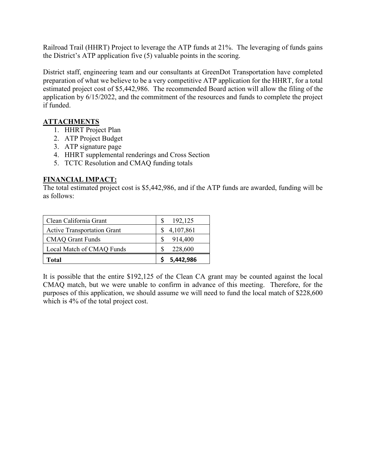Railroad Trail (HHRT) Project to leverage the ATP funds at 21%. The leveraging of funds gains the District's ATP application five (5) valuable points in the scoring.

District staff, engineering team and our consultants at GreenDot Transportation have completed preparation of what we believe to be a very competitive ATP application for the HHRT, for a total estimated project cost of \$5,442,986. The recommended Board action will allow the filing of the application by 6/15/2022, and the commitment of the resources and funds to complete the project if funded.

## **ATTACHMENTS**

- 1. HHRT Project Plan
- 2. ATP Project Budget
- 3. ATP signature page
- 4. HHRT supplemental renderings and Cross Section
- 5. TCTC Resolution and CMAQ funding totals

## **FINANCIAL IMPACT:**

The total estimated project cost is \$5,442,986, and if the ATP funds are awarded, funding will be as follows:

| Clean California Grant             | 192,125   |
|------------------------------------|-----------|
| <b>Active Transportation Grant</b> | 4,107,861 |
| <b>CMAQ Grant Funds</b>            | 914,400   |
| Local Match of CMAQ Funds          | 228,600   |
| Total                              | 5,442,986 |

It is possible that the entire \$192,125 of the Clean CA grant may be counted against the local CMAQ match, but we were unable to confirm in advance of this meeting. Therefore, for the purposes of this application, we should assume we will need to fund the local match of \$228,600 which is 4% of the total project cost.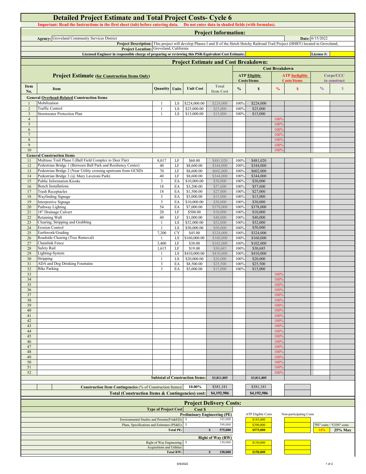| <b>Detailed Project Estimate and Total Project Costs- Cycle 6</b><br>Important: Read the Instructions in the first sheet (tab) before entering data. Do not enter data in shaded fields (with formulas). |                                                                                                                                                                                   |                                  |                 |                                        |                                     |               |                                           |                          |                                             |               |                                     |
|----------------------------------------------------------------------------------------------------------------------------------------------------------------------------------------------------------|-----------------------------------------------------------------------------------------------------------------------------------------------------------------------------------|----------------------------------|-----------------|----------------------------------------|-------------------------------------|---------------|-------------------------------------------|--------------------------|---------------------------------------------|---------------|-------------------------------------|
| <b>Project Information:</b>                                                                                                                                                                              |                                                                                                                                                                                   |                                  |                 |                                        |                                     |               |                                           |                          |                                             |               |                                     |
| <b>Agency:</b> Groveland Community Services District<br>Date: 6/15/2022                                                                                                                                  |                                                                                                                                                                                   |                                  |                 |                                        |                                     |               |                                           |                          |                                             |               |                                     |
|                                                                                                                                                                                                          | Project Description: This project will develop Phases I and II of the Hetch Hetchy Railroad Trail Project (HHRT) located in Groveland,<br>Project Location: Groveland, California |                                  |                 |                                        |                                     |               |                                           |                          |                                             |               |                                     |
|                                                                                                                                                                                                          | Licensed Engineer in responsible charge of preparing or reviewing this PSR-Equivalent Cost Estimate:<br>License#:                                                                 |                                  |                 |                                        |                                     |               |                                           |                          |                                             |               |                                     |
|                                                                                                                                                                                                          | <b>Project Estimate and Cost Breakdown:</b>                                                                                                                                       |                                  |                 |                                        |                                     |               |                                           |                          |                                             |               |                                     |
|                                                                                                                                                                                                          |                                                                                                                                                                                   |                                  |                 |                                        |                                     |               |                                           | <b>Cost Breakdown</b>    |                                             |               |                                     |
|                                                                                                                                                                                                          | <b>Project Estimate (for Construction Items Only)</b>                                                                                                                             |                                  |                 |                                        |                                     |               | <b>ATP Eligible</b><br><b>Costs/Items</b> |                          | <b>ATP</b> Ineligible<br><b>Costs/Items</b> |               | Corps/CCC<br>to construct           |
| Item<br>No.                                                                                                                                                                                              | Item                                                                                                                                                                              | <b>Quantity</b> Units            |                 | <b>Unit Cost</b>                       | <b>Total</b><br><b>Item Cost</b>    | $\frac{0}{0}$ | $\mathbf S$                               | $\frac{1}{2}$            | $\mathbf{s}$                                | $\frac{0}{0}$ | $\mathcal{S}$                       |
|                                                                                                                                                                                                          | <b>General Overhead-Related Construction Items</b>                                                                                                                                |                                  |                 |                                        |                                     |               |                                           |                          |                                             |               |                                     |
|                                                                                                                                                                                                          | Mobilization                                                                                                                                                                      |                                  | LS              | \$224,000.00                           | \$224,000                           | 100%          | \$224,000                                 |                          |                                             |               |                                     |
| $\overline{2}$<br>3                                                                                                                                                                                      | Traffic Control<br><b>Stormwater Protection Plan</b>                                                                                                                              | $\mathbf{1}$<br>$\mathbf{1}$     | LS<br>LS        | \$25,000.00<br>\$15,000.00             | \$25,000<br>\$15,000                | 100%<br>100%  | \$25,000<br>\$15,000                      |                          |                                             |               |                                     |
| $\overline{4}$                                                                                                                                                                                           |                                                                                                                                                                                   |                                  |                 |                                        |                                     |               |                                           | 100%                     |                                             |               |                                     |
| 5                                                                                                                                                                                                        |                                                                                                                                                                                   |                                  |                 |                                        |                                     |               |                                           | 1009                     |                                             |               |                                     |
| 6<br>$7\phantom{.0}$                                                                                                                                                                                     |                                                                                                                                                                                   |                                  |                 |                                        |                                     |               |                                           | 100%<br>100%             |                                             |               |                                     |
| 8                                                                                                                                                                                                        |                                                                                                                                                                                   |                                  |                 |                                        |                                     |               |                                           | 1009                     |                                             |               |                                     |
| 9                                                                                                                                                                                                        |                                                                                                                                                                                   |                                  |                 |                                        |                                     |               |                                           | 1009                     |                                             |               |                                     |
| 10                                                                                                                                                                                                       |                                                                                                                                                                                   |                                  |                 |                                        |                                     |               |                                           | 100%                     |                                             |               |                                     |
| 11                                                                                                                                                                                                       | <b>General Construction Items</b><br>Multiuse Trail Phase I (Ball Field Complex to Deer Flat)                                                                                     | 8,017                            | LF              | \$60.00                                | \$481,020                           | 100%          | \$481,020                                 |                          |                                             |               |                                     |
| 12                                                                                                                                                                                                       | Pedestrian Bridge 1 (Between Ball Park and Resiliency Center)                                                                                                                     | 40                               | $\rm LF$        | \$8,600.00                             | \$344,000                           | 100%          | \$344,000                                 |                          |                                             |               |                                     |
| 13                                                                                                                                                                                                       | Pedestrian Bridge 2 (Near Utility crossing upstream from GCSD)                                                                                                                    | 70                               | LF              | \$8,600.00                             | \$602,000                           | 100%          | \$602,000                                 |                          |                                             |               |                                     |
| 14<br>15                                                                                                                                                                                                 | Pedestrian Bridge 3 (@ Mary Laveroni Park)<br><b>Public Information Kiosks</b>                                                                                                    | 40<br>3                          | LF<br>EA        | \$8,600.00<br>\$10,000.00              | \$344,000<br>\$30,000               | 100%<br>100%  | \$344,000<br>\$30,000                     |                          |                                             |               |                                     |
| 16                                                                                                                                                                                                       | <b>Bench Installations</b>                                                                                                                                                        | 18                               | EA              | \$3,200.00                             | \$57,600                            | 100%          | \$57,600                                  |                          |                                             |               |                                     |
| 17                                                                                                                                                                                                       | <b>Trash Receptacles</b>                                                                                                                                                          | 18                               | EA              | \$1,500.00                             | \$27,000                            | 100%          | \$27,000                                  |                          |                                             |               |                                     |
| 18<br>19                                                                                                                                                                                                 | Wayfinding Signage<br>Interpretive Signage                                                                                                                                        | $\overline{3}$<br>$\mathfrak{Z}$ | EA<br>EA        | \$5,000.00<br>\$10,000.00              | \$15,000<br>\$30,000                | 100%<br>100%  | \$15,000<br>\$30,000                      |                          |                                             |               |                                     |
| 20                                                                                                                                                                                                       | Pathway Lighting                                                                                                                                                                  | 54                               | EA              | \$7,000.00                             | \$378,000                           | 100%          | \$378,000                                 |                          |                                             |               |                                     |
| 21                                                                                                                                                                                                       | 18" Drainage Culvert                                                                                                                                                              | 20                               | LF              | \$500.00                               | \$10,000                            | 100%          | \$10,000                                  |                          |                                             |               |                                     |
| 22<br>23                                                                                                                                                                                                 | Retaining Wall<br>Clearing, Stripping and Grubbing                                                                                                                                | 40                               | LF<br>LS        | \$1,000.00<br>\$52,000.00              | \$40,000<br>\$52,000                | 100%<br>100%  | \$40,000<br>\$52,000                      |                          |                                             |               |                                     |
| 24                                                                                                                                                                                                       | <b>Erosion Control</b>                                                                                                                                                            |                                  | ${\rm LS}$      | \$50,000.00                            | \$50,000                            | 100%          | \$50,000                                  |                          |                                             |               |                                     |
| 25                                                                                                                                                                                                       | Earthwork/Grading                                                                                                                                                                 | 7,200                            | CY              | \$45.00                                | \$324,000                           | 100%          | \$324,000                                 |                          |                                             |               |                                     |
| 26                                                                                                                                                                                                       | Roadside Clearing (Tree Removal)                                                                                                                                                  | 1                                | LS              | \$160,000.00                           | \$160,000                           | 100%          | \$160,000                                 |                          |                                             |               |                                     |
| 27<br>28                                                                                                                                                                                                 | Chainlink Fence<br>Safety Rail                                                                                                                                                    | 3,400<br>1,615                   | LF<br>LF        | \$30.00<br>\$19.00                     | \$102,000<br>\$30,685               | 100%<br>100%  | \$102,000<br>\$30,685                     |                          |                                             |               |                                     |
| 29                                                                                                                                                                                                       | Lighting-System                                                                                                                                                                   | -1                               | LS              | \$410,000.00                           | \$410,000                           | 100%          | \$410,000                                 |                          |                                             |               |                                     |
| 30                                                                                                                                                                                                       | Stripping                                                                                                                                                                         | 1                                | LS              | \$20,000.00                            | \$20,000                            | 100%          | \$20,000                                  |                          |                                             |               |                                     |
| 31<br>32                                                                                                                                                                                                 | ADA and Dog Drinking Fountains<br><b>Bike Parking</b>                                                                                                                             | 3<br>3                           | EA<br>EA        | \$8,500.00<br>\$5,000.00               | \$25,500<br>\$15,000                | 100%<br>100%  | \$25,500<br>\$15,000                      |                          |                                             |               |                                     |
| 33                                                                                                                                                                                                       |                                                                                                                                                                                   |                                  |                 |                                        |                                     |               |                                           | 100%                     |                                             |               |                                     |
| 34                                                                                                                                                                                                       |                                                                                                                                                                                   |                                  |                 |                                        |                                     |               |                                           | 100%                     |                                             |               |                                     |
| 35<br>36                                                                                                                                                                                                 |                                                                                                                                                                                   |                                  |                 |                                        |                                     |               |                                           | 1009<br>100 <sup>c</sup> |                                             |               |                                     |
| 37                                                                                                                                                                                                       |                                                                                                                                                                                   |                                  |                 |                                        |                                     |               |                                           | 100%                     |                                             |               |                                     |
| 38                                                                                                                                                                                                       |                                                                                                                                                                                   |                                  |                 |                                        |                                     |               |                                           | 1009                     |                                             |               |                                     |
| 39<br>40                                                                                                                                                                                                 |                                                                                                                                                                                   |                                  |                 |                                        |                                     |               |                                           | 100%<br>100%             |                                             |               |                                     |
| 41                                                                                                                                                                                                       |                                                                                                                                                                                   |                                  |                 |                                        |                                     |               |                                           | 100%                     |                                             |               |                                     |
| 42                                                                                                                                                                                                       |                                                                                                                                                                                   |                                  |                 |                                        |                                     |               |                                           | 100%                     |                                             |               |                                     |
| 43<br>44                                                                                                                                                                                                 |                                                                                                                                                                                   |                                  |                 |                                        |                                     |               |                                           | 100%<br>100%             |                                             |               |                                     |
| 45                                                                                                                                                                                                       |                                                                                                                                                                                   |                                  |                 |                                        |                                     |               |                                           | 100%                     |                                             |               |                                     |
| 46                                                                                                                                                                                                       |                                                                                                                                                                                   |                                  |                 |                                        |                                     |               |                                           | 100%                     |                                             |               |                                     |
| 47<br>48                                                                                                                                                                                                 |                                                                                                                                                                                   |                                  |                 |                                        |                                     |               |                                           | 100%<br>100%             |                                             |               |                                     |
| 49                                                                                                                                                                                                       |                                                                                                                                                                                   |                                  |                 |                                        |                                     |               |                                           | 100%                     |                                             |               |                                     |
| 50<br>51                                                                                                                                                                                                 |                                                                                                                                                                                   |                                  |                 |                                        |                                     |               |                                           | 100%<br>100%             |                                             |               |                                     |
| 52                                                                                                                                                                                                       |                                                                                                                                                                                   |                                  |                 |                                        |                                     |               |                                           | 100%                     |                                             |               |                                     |
|                                                                                                                                                                                                          |                                                                                                                                                                                   |                                  |                 | <b>Subtotal of Construction Items:</b> | \$3,811,805                         |               | \$3,811,805                               |                          |                                             |               |                                     |
|                                                                                                                                                                                                          | Construction Item Contingencies (% of Construction Items):                                                                                                                        |                                  |                 | 10.00%                                 | \$381,181                           |               | \$381,181                                 |                          |                                             |               |                                     |
|                                                                                                                                                                                                          | Total (Construction Items & Contingencies) cost:                                                                                                                                  |                                  |                 |                                        | \$4,192,986                         |               | \$4,192,986                               |                          |                                             |               |                                     |
|                                                                                                                                                                                                          |                                                                                                                                                                                   |                                  |                 |                                        |                                     |               |                                           |                          |                                             |               |                                     |
|                                                                                                                                                                                                          |                                                                                                                                                                                   | <b>Type of Project Cost</b>      |                 | Cost \$                                | <b>Project Delivery Costs:</b>      |               |                                           |                          |                                             |               |                                     |
|                                                                                                                                                                                                          |                                                                                                                                                                                   |                                  |                 |                                        | <b>Preliminary Engineering (PE)</b> |               | <b>ATP Eligible Costs</b>                 |                          | Non-participating Costs                     |               |                                     |
|                                                                                                                                                                                                          | Environmental Studies and Permits(PA&ED):                                                                                                                                         |                                  |                 |                                        | 185,000                             |               | \$185,000                                 |                          |                                             |               |                                     |
|                                                                                                                                                                                                          | Plans, Specifications and Estimates (PS&E)                                                                                                                                        |                                  | <b>Total PE</b> |                                        | 390,000<br>$\mathbf{s}$<br>575,000  |               | \$390,000<br>\$575,000                    |                          |                                             | 14%           | "PE" costs / "CON" costs<br>25% Max |
|                                                                                                                                                                                                          |                                                                                                                                                                                   |                                  |                 |                                        | <b>Right of Way (RW)</b>            |               |                                           |                          |                                             |               |                                     |
|                                                                                                                                                                                                          |                                                                                                                                                                                   | Right of Way Engineering:        |                 |                                        | 150,000                             |               | \$150,000                                 |                          |                                             |               |                                     |
|                                                                                                                                                                                                          |                                                                                                                                                                                   | Acquisitions and Utilities       |                 |                                        |                                     |               |                                           |                          |                                             |               |                                     |
|                                                                                                                                                                                                          | <b>Total RW:</b><br>150,000<br>\$150,000<br>$\mathbf{s}$                                                                                                                          |                                  |                 |                                        |                                     |               |                                           |                          |                                             |               |                                     |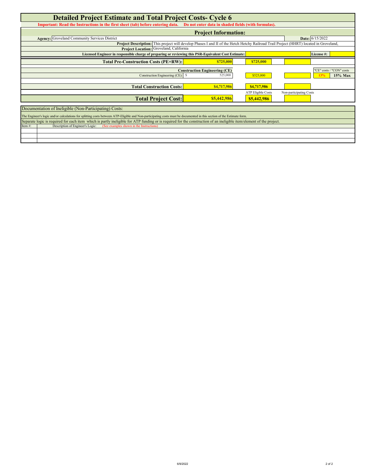| <b>Detailed Project Estimate and Total Project Costs- Cycle 6</b>                                                                                                      |                                                              |                           |                         |  |  |  |  |  |
|------------------------------------------------------------------------------------------------------------------------------------------------------------------------|--------------------------------------------------------------|---------------------------|-------------------------|--|--|--|--|--|
| Important: Read the Instructions in the first sheet (tab) before entering data. Do not enter data in shaded fields (with formulas).                                    |                                                              |                           |                         |  |  |  |  |  |
| <b>Project Information:</b>                                                                                                                                            |                                                              |                           |                         |  |  |  |  |  |
| <b>Agency:</b> Groveland Community Services District                                                                                                                   |                                                              |                           | Date: 6/15/2022         |  |  |  |  |  |
| Project Description: This project will develop Phases I and II of the Hetch Hetchy Railroad Trail Project (HHRT) located in Groveland,                                 |                                                              |                           |                         |  |  |  |  |  |
| Project Location: Groveland, California                                                                                                                                |                                                              |                           |                         |  |  |  |  |  |
| Licensed Engineer in responsible charge of preparing or reviewing this PSR-Equivalent Cost Estimate:                                                                   |                                                              |                           | License#:               |  |  |  |  |  |
| <b>Total Pre-Construction Costs (PE+RW):</b>                                                                                                                           | \$725,000                                                    | \$725,000                 |                         |  |  |  |  |  |
| "CE" costs / "CON" costs                                                                                                                                               |                                                              |                           |                         |  |  |  |  |  |
| Construction Engineering (CE): \$                                                                                                                                      | <b>Construction Engineering (CE)</b><br>525,000<br>\$525,000 |                           |                         |  |  |  |  |  |
|                                                                                                                                                                        |                                                              |                           | 15% Max<br>13%          |  |  |  |  |  |
| <b>Total Construction Costs:</b>                                                                                                                                       | \$4,717,986                                                  | \$4,717,986               |                         |  |  |  |  |  |
|                                                                                                                                                                        |                                                              | <b>ATP</b> Eligible Costs | Non-participating Costs |  |  |  |  |  |
| <b>Total Project Cost:</b>                                                                                                                                             | \$5,442,986                                                  | \$5,442,986               |                         |  |  |  |  |  |
|                                                                                                                                                                        |                                                              |                           |                         |  |  |  |  |  |
| Documentation of Ineligible (Non-Participating) Costs:                                                                                                                 |                                                              |                           |                         |  |  |  |  |  |
| The Engineer's logic and/or calculations for splitting costs between ATP-Eligible and Non-participating costs must be documented in this section of the Estimate form. |                                                              |                           |                         |  |  |  |  |  |
| Separate logic is required for each item which is partly ineligible for ATP funding or is required for the construction of an ineligible item/element of the project.  |                                                              |                           |                         |  |  |  |  |  |
| Item#:<br>Description of Engineer's Logic:<br>(See examples shown in the Instructions)                                                                                 |                                                              |                           |                         |  |  |  |  |  |
|                                                                                                                                                                        |                                                              |                           |                         |  |  |  |  |  |
|                                                                                                                                                                        |                                                              |                           |                         |  |  |  |  |  |
|                                                                                                                                                                        |                                                              |                           |                         |  |  |  |  |  |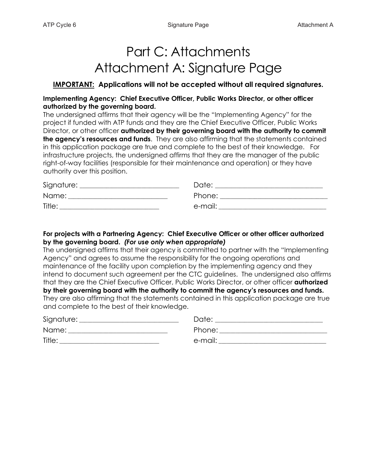# Part C: Attachments Attachment A: Signature Page

## **IMPORTANT: Applications will not be accepted without all required signatures.**

## **Implementing Agency: Chief Executive Officer, Public Works Director, or other officer authorized by the governing board.**

The undersigned affirms that their agency will be the "Implementing Agency" for the project if funded with ATP funds and they are the Chief Executive Officer, Public Works Director, or other officer **authorized by their governing board with the authority to commit the agency's resources and funds**. They are also affirming that the statements contained in this application package are true and complete to the best of their knowledge. For infrastructure projects, the undersigned affirms that they are the manager of the public right-of-way facilities (responsible for their maintenance and operation) or they have authority over this position.

| Signature: | Date:   |
|------------|---------|
| Name:      | Phone:  |
| Title:     | e-mail: |

## **For projects with a Partnering Agency: Chief Executive Officer or other officer authorized by the governing board.** *(For use only when appropriate)*

The undersigned affirms that their agency is committed to partner with the "Implementing Agency" and agrees to assume the responsibility for the ongoing operations and maintenance of the facility upon completion by the implementing agency and they intend to document such agreement per the CTC guidelines. The undersigned also affirms that they are the Chief Executive Officer, Public Works Director, or other officer **authorized by their governing board with the authority to commit the agency's resources and funds.** They are also affirming that the statements contained in this application package are true and complete to the best of their knowledge.

| Signature: | Date:   |
|------------|---------|
| Name:      | Phone:  |
| Title:     | e-mail: |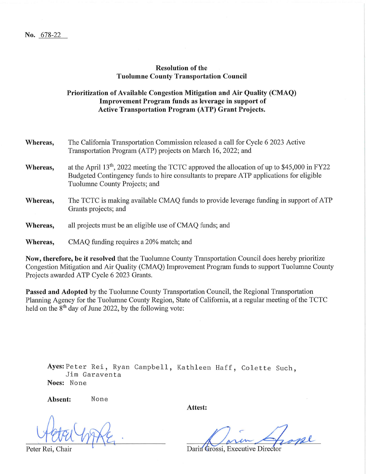#### **Resolution of the Tuolumne County Transportation Council**

## Prioritization of Available Congestion Mitigation and Air Quality (CMAQ) Improvement Program funds as leverage in support of **Active Transportation Program (ATP) Grant Projects.**

| Whereas, | The California Transportation Commission released a call for Cycle 6 2023 Active<br>Transportation Program (ATP) projects on March 16, 2022; and                                                                                    |
|----------|-------------------------------------------------------------------------------------------------------------------------------------------------------------------------------------------------------------------------------------|
| Whereas, | at the April 13 <sup>th</sup> , 2022 meeting the TCTC approved the allocation of up to \$45,000 in FY22<br>Budgeted Contingency funds to hire consultants to prepare ATP applications for eligible<br>Tuolumne County Projects; and |
| Whereas, | The TCTC is making available CMAQ funds to provide leverage funding in support of ATP<br>Grants projects; and                                                                                                                       |
| Whereas, | all projects must be an eligible use of CMAQ funds; and                                                                                                                                                                             |
| Whereas, | CMAQ funding requires a 20% match; and                                                                                                                                                                                              |
|          |                                                                                                                                                                                                                                     |

Now, therefore, be it resolved that the Tuolumne County Transportation Council does hereby prioritize Congestion Mitigation and Air Quality (CMAQ) Improvement Program funds to support Tuolumne County Projects awarded ATP Cycle 6 2023 Grants.

Passed and Adopted by the Tuolumne County Transportation Council, the Regional Transportation Planning Agency for the Tuolumne County Region, State of California, at a regular meeting of the TCTC held on the 8<sup>th</sup> day of June 2022, by the following vote:

Ayes: Peter Rei, Ryan Campbell, Kathleen Haff, Colette Such, Jim Garaventa Noes: None

Absent:

None

Attest:

Darin Grossi, Executive Director

Peter Rei, Chair